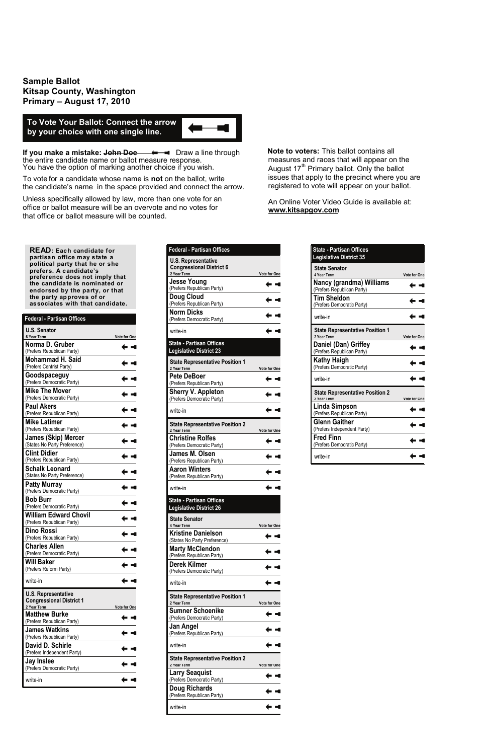**Sample Ballot Kitsap County, Washington Primary – August 17, 2010**

**If you make a mistake: John Doe**  $\longrightarrow$  **Draw a line through** the entire candidate name or ballot measure response. You have the option of marking another choice if you wish.

To vote for a candidate whose name is **not** on the ballot, write the candidate's name in the space provided and connect the arrow.

Unless specifically allowed by law, more than one vote for an office or ballot measure will be an overvote and no votes for that office or ballot measure will be counted.

 **Note to voters:** This ballot contains all measures and races that will appear on the August  $17<sup>th</sup>$  Primary ballot. Only the ballot issues that apply to the precinct where you are registered to vote will appear on your ballot.

An Online Voter Video Guide is available at: **www.kitsapgov.com**

**To Vote Your Ballot: Connect the arrow by your choice with one single line.**

**READ: Each candidate for partisan office may state a political party that he or she prefers. A candidate's preference does not imply that the candidate is nominated or endorsed by the party, or that the party approves of or associates with that candidate.** 

| <b>Federal - Partisan Offices</b>                             |              |
|---------------------------------------------------------------|--------------|
| <b>U.S. Senator</b><br>6 Year Term                            | Vote for One |
| Norma D. Gruber<br>(Prefers Republican Party)                 |              |
| Mohammad H. Said<br>(Prefers Centrist Party)                  |              |
| Goodspaceguy<br>(Prefers Democratic Party)                    |              |
| <b>Mike The Mover</b><br>(Prefers Democratic Party)           |              |
| <b>Paul Akers</b><br>(Prefers Republican Party)               |              |
| Mike Latimer<br>(Prefers Republican Party)                    |              |
| <b>James (Skip) Mercer</b><br>(States No Party Preference)    |              |
| <b>Clint Didier</b><br>(Prefers Republican Party)             |              |
| <b>Schalk Leonard</b><br>(States No Party Preference)         |              |
| <b>Patty Murray</b><br>(Prefers Democratic Party)             |              |
| <b>Bob Burr</b><br>(Prefers Democratic Party)                 |              |
| <b>William Edward Chovil</b><br>(Prefers Republican Party)    |              |
| <b>Dino Rossi</b><br>(Prefers Republican Party)               |              |
| <b>Charles Allen</b><br>(Prefers Democratic Party)            |              |
| <b>Will Baker</b><br>(Prefers Reform Party)                   |              |
| write-in                                                      |              |
| <b>U.S. Representative</b><br><b>Congressional District 1</b> |              |
| 2 Year Term<br><b>Matthew Burke</b>                           | Vote for One |
| (Prefers Republican Party)<br>James Watkins                   |              |
| (Prefers Republican Party)                                    |              |
| David D. Schirle<br>(Prefers Independent Party)               |              |
| Jay Inslee<br>(Prefers Democratic Party)                      |              |
| write-in                                                      |              |

| <b>State - Partisan Offices</b><br><b>Legislative District 35</b> |                     |
|-------------------------------------------------------------------|---------------------|
| <b>State Senator</b><br>4 Year Term                               | <b>Vote for One</b> |
| Nancy (grandma) Williams<br>(Prefers Republican Party)            |                     |
| <b>Tim Sheldon</b><br>(Prefers Democratic Party)                  |                     |
| write-in                                                          |                     |
| <b>State Representative Position 1</b><br>2 Year Term             | <b>Vote for One</b> |
| Daniel (Dan) Griffey<br>(Prefers Republican Party)                |                     |
| <b>Kathy Haigh</b><br>(Prefers Democratic Party)                  |                     |
| write-in                                                          |                     |
| <b>State Representative Position 2</b><br>2 Year Term             | Vote for One        |
| Linda Simpson<br>(Prefers Republican Party)                       |                     |
| <b>Glenn Gaither</b><br>(Prefers Independent Party)               |                     |
| <b>Fred Finn</b><br>(Prefers Democratic Party)                    |                     |
|                                                                   |                     |

| <b>Federal - Partisan Offices</b>                                            |                     |
|------------------------------------------------------------------------------|---------------------|
| <b>U.S. Representative</b><br><b>Congressional District 6</b><br>2 Year Term | Vote for One        |
| <b>Jesse Young</b><br>(Prefers Republican Party)                             |                     |
| <b>Doug Cloud</b><br>(Prefers Republican Party)                              |                     |
| <b>Norm Dicks</b><br>(Prefers Democratic Party)                              |                     |
| write-in                                                                     |                     |
| <b>State - Partisan Offices</b><br><b>Legislative District 23</b>            |                     |
| <b>State Representative Position 1</b><br>2 Year Term                        | <b>Vote for One</b> |
| <b>Pete DeBoer</b><br>(Prefers Republican Party)                             |                     |
| <b>Sherry V. Appleton</b><br>(Prefers Democratic Party)                      |                     |
| write-in                                                                     |                     |
| <b>State Representative Position 2</b><br>2 Year Term                        | Vote for One        |
| <b>Christine Rolfes</b><br>(Prefers Democratic Party)                        |                     |
| James M. Olsen<br>(Prefers Republican Party)                                 |                     |
| Aaron Winters<br>(Prefers Republican Party)                                  |                     |
| write-in                                                                     |                     |
| <b>State - Partisan Offices</b><br><b>Legislative District 26</b>            |                     |
| State Senator<br>4 Year Term                                                 | <b>Vote for One</b> |
| Kristine Danielson<br>(States No Party Preference)                           |                     |
| <b>Marty McClendon</b><br>(Prefers Republican Party)                         |                     |
| Derek Kilmer<br>(Prefers Democratic Party)                                   |                     |
| write-in                                                                     |                     |
| <b>State Representative Position 1</b><br>2 Year Term                        | Vote for One        |
| <b>Sumner Schoenike</b><br>(Prefers Democratic Party)                        |                     |
| Jan Angel<br>(Prefers Republican Party)                                      |                     |
| write-in                                                                     |                     |
| <b>State Representative Position 2</b><br>2 Year Term                        | Vote for One        |
| Larry Seaquist<br>(Prefers Democratic Party)                                 |                     |
| Doug Richards<br>(Prefers Republican Party)                                  |                     |
| write-in                                                                     |                     |